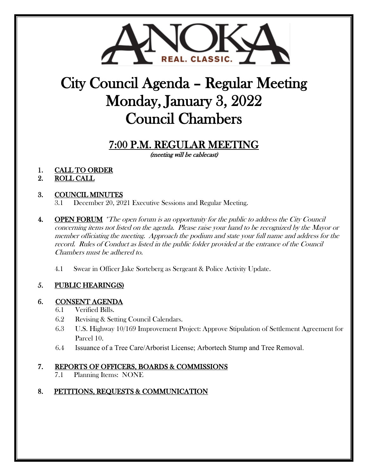

# City Council Agenda – Regular Meeting Monday, January 3, 2022 Council Chambers

## 7:00 P.M. REGULAR MEETING

(meeting will be cablecast)

1. CALL TO ORDER

### 2. ROLL CALL

### 3. COUNCIL MINUTES

3.1 December 20, 2021 Executive Sessions and Regular Meeting.

- 4. **OPEN FORUM** \*The open forum is an opportunity for the public to address the City Council concerning items not listed on the agenda. Please raise your hand to be recognized by the Mayor or member officiating the meeting. Approach the podium and state your full name and address for the record. Rules of Conduct as listed in the public folder provided at the entrance of the Council Chambers must be adhered to.
	- 4.1 Swear in Officer Jake Sorteberg as Sergeant & Police Activity Update.

## 5. PUBLIC HEARING(S)

## 6. CONSENT AGENDA

- 6.1 Verified Bills.
- 6.2 Revising & Setting Council Calendars.
- 6.3 U.S. Highway 10/169 Improvement Project: Approve Stipulation of Settlement Agreement for Parcel 10.
- 6.4 Issuance of a Tree Care/Arborist License; Arbortech Stump and Tree Removal.

## 7. REPORTS OF OFFICERS, BOARDS & COMMISSIONS

7.1 Planning Items: NONE

#### 8. PETITIONS, REQUESTS & COMMUNICATION